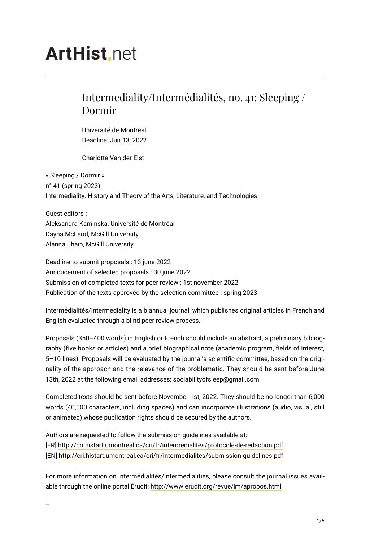# **ArtHist** net

## Intermediality/Intermédialités, no. 41: Sleeping / Dormir

Université de Montréal Deadline: Jun 13, 2022

Charlotte Van der Elst

« Sleeping / Dormir » n° 41 (spring 2023) Intermediality. History and Theory of the Arts, Literature, and Technologies

Guest editors : Aleksandra Kaminska, Université de Montréal Dayna McLeod, McGill University Alanna Thain, McGill University

Deadline to submit proposals : 13 june 2022 Annoucement of selected proposals : 30 june 2022 Submission of completed texts for peer review : 1st november 2022 Publication of the texts approved by the selection committee : spring 2023

Intermédialités/Intermediality is a biannual journal, which publishes original articles in French and English evaluated through a blind peer review process.

Proposals (350–400 words) in English or French should include an abstract, a preliminary bibliography (five books or articles) and a brief biographical note (academic program, fields of interest, 5–10 lines). Proposals will be evaluated by the journal's scientific committee, based on the originality of the approach and the relevance of the problematic. They should be sent before June 13th, 2022 at the following email addresses: sociabilityofsleep@gmail.com

Completed texts should be sent before November 1st, 2022. They should be no longer than 6,000 words (40,000 characters, including spaces) and can incorporate illustrations (audio, visual, still or animated) whose publication rights should be secured by the authors.

Authors are requested to follow the submission guidelines available at: [FR]<http://cri.histart.umontreal.ca/cri/fr/intermedialites/protocole-de-redaction.pdf> [EN]<http://cri.histart.umontreal.ca/cri/fr/intermedialites/submission-guidelines.pdf>

For more information on Intermédialités/Intermedialities, please consult the journal issues available through the online portal Érudit:<http://www.erudit.org/revue/im/apropos.html>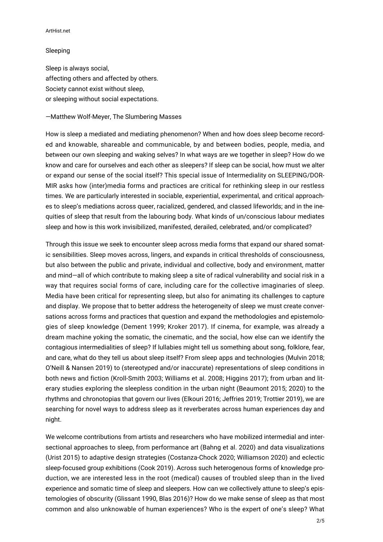#### ArtHist.net

#### Sleeping

Sleep is always social, affecting others and affected by others. Society cannot exist without sleep, or sleeping without social expectations.

### —Matthew Wolf-Meyer, The Slumbering Masses

How is sleep a mediated and mediating phenomenon? When and how does sleep become recorded and knowable, shareable and communicable, by and between bodies, people, media, and between our own sleeping and waking selves? In what ways are we together in sleep? How do we know and care for ourselves and each other as sleepers? If sleep can be social, how must we alter or expand our sense of the social itself? This special issue of Intermediality on SLEEPING/DOR-MIR asks how (inter)media forms and practices are critical for rethinking sleep in our restless times. We are particularly interested in sociable, experiential, experimental, and critical approaches to sleep's mediations across queer, racialized, gendered, and classed lifeworlds; and in the inequities of sleep that result from the labouring body. What kinds of un/conscious labour mediates sleep and how is this work invisibilized, manifested, derailed, celebrated, and/or complicated?

Through this issue we seek to encounter sleep across media forms that expand our shared somatic sensibilities. Sleep moves across, lingers, and expands in critical thresholds of consciousness, but also between the public and private, individual and collective, body and environment, matter and mind—all of which contribute to making sleep a site of radical vulnerability and social risk in a way that requires social forms of care, including care for the collective imaginaries of sleep. Media have been critical for representing sleep, but also for animating its challenges to capture and display. We propose that to better address the heterogeneity of sleep we must create conversations across forms and practices that question and expand the methodologies and epistemologies of sleep knowledge (Dement 1999; Kroker 2017). If cinema, for example, was already a dream machine yoking the somatic, the cinematic, and the social, how else can we identify the contagious intermedialities of sleep? If lullabies might tell us something about song, folklore, fear, and care, what do they tell us about sleep itself? From sleep apps and technologies (Mulvin 2018; O'Neill & Nansen 2019) to (stereotyped and/or inaccurate) representations of sleep conditions in both news and fiction (Kroll-Smith 2003; Williams et al. 2008; Higgins 2017); from urban and literary studies exploring the sleepless condition in the urban night (Beaumont 2015; 2020) to the rhythms and chronotopias that govern our lives (Elkouri 2016; Jeffries 2019; Trottier 2019), we are searching for novel ways to address sleep as it reverberates across human experiences day and night.

We welcome contributions from artists and researchers who have mobilized intermedial and intersectional approaches to sleep, from performance art (Bahng et al. 2020) and data visualizations (Urist 2015) to adaptive design strategies (Costanza-Chock 2020; Williamson 2020) and eclectic sleep-focused group exhibitions (Cook 2019). Across such heterogenous forms of knowledge production, we are interested less in the root (medical) causes of troubled sleep than in the lived experience and somatic time of sleep and sleepers. How can we collectively attune to sleep's epistemologies of obscurity (Glissant 1990, Blas 2016)? How do we make sense of sleep as that most common and also unknowable of human experiences? Who is the expert of one's sleep? What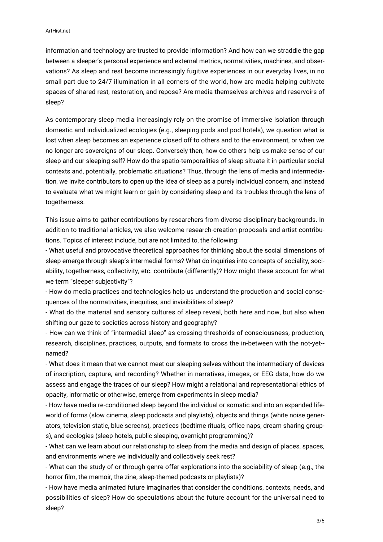information and technology are trusted to provide information? And how can we straddle the gap between a sleeper's personal experience and external metrics, normativities, machines, and observations? As sleep and rest become increasingly fugitive experiences in our everyday lives, in no small part due to 24/7 illumination in all corners of the world, how are media helping cultivate spaces of shared rest, restoration, and repose? Are media themselves archives and reservoirs of sleep?

As contemporary sleep media increasingly rely on the promise of immersive isolation through domestic and individualized ecologies (e.g., sleeping pods and pod hotels), we question what is lost when sleep becomes an experience closed off to others and to the environment, or when we no longer are sovereigns of our sleep. Conversely then, how do others help us make sense of our sleep and our sleeping self? How do the spatio-temporalities of sleep situate it in particular social contexts and, potentially, problematic situations? Thus, through the lens of media and intermediation, we invite contributors to open up the idea of sleep as a purely individual concern, and instead to evaluate what we might learn or gain by considering sleep and its troubles through the lens of togetherness.

This issue aims to gather contributions by researchers from diverse disciplinary backgrounds. In addition to traditional articles, we also welcome research-creation proposals and artist contributions. Topics of interest include, but are not limited to, the following:

- What useful and provocative theoretical approaches for thinking about the social dimensions of sleep emerge through sleep's intermedial forms? What do inquiries into concepts of sociality, sociability, togetherness, collectivity, etc. contribute (differently)? How might these account for what we term "sleeper subjectivity"?

- How do media practices and technologies help us understand the production and social consequences of the normativities, inequities, and invisibilities of sleep?

- What do the material and sensory cultures of sleep reveal, both here and now, but also when shifting our gaze to societies across history and geography?

- How can we think of "intermedial sleep" as crossing thresholds of consciousness, production, research, disciplines, practices, outputs, and formats to cross the in-between with the not-yet- named?

- What does it mean that we cannot meet our sleeping selves without the intermediary of devices of inscription, capture, and recording? Whether in narratives, images, or EEG data, how do we assess and engage the traces of our sleep? How might a relational and representational ethics of opacity, informatic or otherwise, emerge from experiments in sleep media?

- How have media re-conditioned sleep beyond the individual or somatic and into an expanded lifeworld of forms (slow cinema, sleep podcasts and playlists), objects and things (white noise generators, television static, blue screens), practices (bedtime rituals, office naps, dream sharing groups), and ecologies (sleep hotels, public sleeping, overnight programming)?

- What can we learn about our relationship to sleep from the media and design of places, spaces, and environments where we individually and collectively seek rest?

- What can the study of or through genre offer explorations into the sociability of sleep (e.g., the horror film, the memoir, the zine, sleep-themed podcasts or playlists)?

- How have media animated future imaginaries that consider the conditions, contexts, needs, and possibilities of sleep? How do speculations about the future account for the universal need to sleep?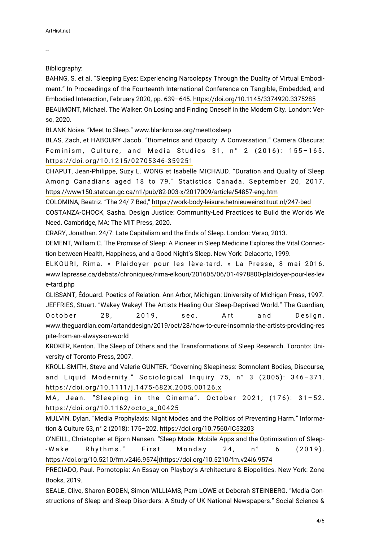--

Bibliography:

BAHNG, S. et al. "Sleeping Eyes: Experiencing Narcolepsy Through the Duality of Virtual Embodiment." In Proceedings of the Fourteenth International Conference on Tangible, Embedded, and Embodied Interaction, February 2020, pp. 639–645.<https://doi.org/10.1145/3374920.3375285> BEAUMONT, Michael. The Walker: On Losing and Finding Oneself in the Modern City. London: Verso, 2020.

BLANK Noise. "Meet to Sleep." www.blanknoise.org/meettosleep

BLAS, Zach, et HABOURY Jacob. "Biometrics and Opacity: A Conversation." Camera Obscura: Feminism, Culture, and Media Studies 31, n° 2 (2016): 155–165. <https://doi.org/10.1215/02705346-359251>

CHAPUT, Jean-Philippe, Suzy L. WONG et Isabelle MICHAUD. "Duration and Quality of Sleep Among Canadians aged 18 to 79." Statistics Canada. September 20, 2017. <https://www150.statcan.gc.ca/n1/pub/82-003-x/2017009/article/54857-eng.htm>

COLOMINA, Beatriz. "The 24/ 7 Bed,"<https://work-body-leisure.hetnieuweinstituut.nl/247-bed> COSTANZA-CHOCK, Sasha. Design Justice: Community-Led Practices to Build the Worlds We Need. Cambridge, MA: The MIT Press, 2020.

CRARY, Jonathan. 24/7: Late Capitalism and the Ends of Sleep. London: Verso, 2013.

DEMENT, William C. The Promise of Sleep: A Pioneer in Sleep Medicine Explores the Vital Connection between Health, Happiness, and a Good Night's Sleep. New York: Delacorte, 1999.

ELKOURI, Rima. « Plaidoyer pour les lève-tard. » La Presse, 8 mai 2016. www.lapresse.ca/debats/chroniques/rima-elkouri/201605/06/01-4978800-plaidoyer-pour-les-lev e-tard.php

GLISSANT, Édouard. Poetics of Relation. Ann Arbor, Michigan: University of Michigan Press, 1997. JEFFRIES, Stuart. "Wakey Wakey! The Artists Healing Our Sleep-Deprived World." The Guardian, October 28, 2019, sec. Art and Design. www.theguardian.com/artanddesign/2019/oct/28/how-to-cure-insomnia-the-artists-providing-res pite-from-an-always-on-world

KROKER, Kenton. The Sleep of Others and the Transformations of Sleep Research. Toronto: University of Toronto Press, 2007.

KROLL-SMITH, Steve and Valerie GUNTER. "Governing Sleepiness: Somnolent Bodies, Discourse, and Liquid Modernity." Sociological Inquiry 75, n° 3 (2005): 346–371. <https://doi.org/10.1111/j.1475-682X.2005.00126.x>

MA, Jean. "Sleeping in the Cinema". October 2021; (176): 31–52. [https://doi.org/10.1162/octo\\_a\\_00425](https://doi.org/10.1162/octo_a_00425)

MULVIN, Dylan. "Media Prophylaxis: Night Modes and the Politics of Preventing Harm." Information & Culture 53, n° 2 (2018): 175–202. <https://doi.org/10.7560/IC53203>

O'NEILL, Christopher et Bjorn Nansen. "Sleep Mode: Mobile Apps and the Optimisation of Sleep- -Wake Rhythms." First Monday 24, n° 6 (2019). [https://doi.org/10.5210/fm.v24i6.9574\]\(https://doi.org/10.5210/fm.v24i6.9574](https://doi.org/10.5210/fm.v24i6.9574](https://doi.org/10.5210/fm.v24i6.9574)

PRECIADO, Paul. Pornotopia: An Essay on Playboy's Architecture & Biopolitics. New York: Zone Books, 2019.

SEALE, Clive, Sharon BODEN, Simon WILLIAMS, Pam LOWE et Deborah STEINBERG. "Media Constructions of Sleep and Sleep Disorders: A Study of UK National Newspapers." Social Science &